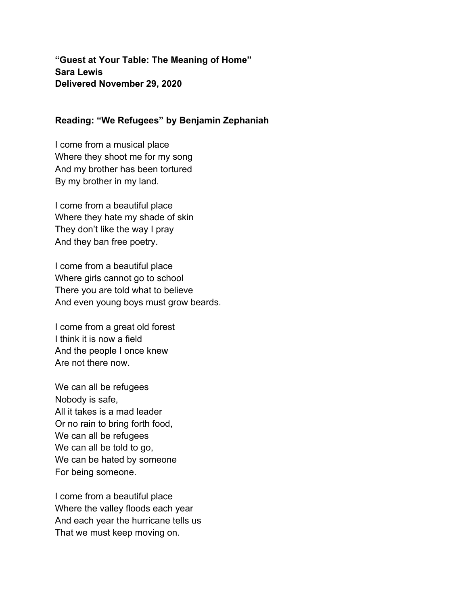**"Guest at Your Table: The Meaning of Home" Sara Lewis Delivered November 29, 2020**

## **Reading: "We Refugees" by Benjamin Zephaniah**

I come from a musical place Where they shoot me for my song And my brother has been tortured By my brother in my land.

I come from a beautiful place Where they hate my shade of skin They don't like the way I pray And they ban free poetry.

I come from a beautiful place Where girls cannot go to school There you are told what to believe And even young boys must grow beards.

I come from a great old forest I think it is now a field And the people I once knew Are not there now.

We can all be refugees Nobody is safe, All it takes is a mad leader Or no rain to bring forth food, We can all be refugees We can all be told to go, We can be hated by someone For being someone.

I come from a beautiful place Where the valley floods each year And each year the hurricane tells us That we must keep moving on.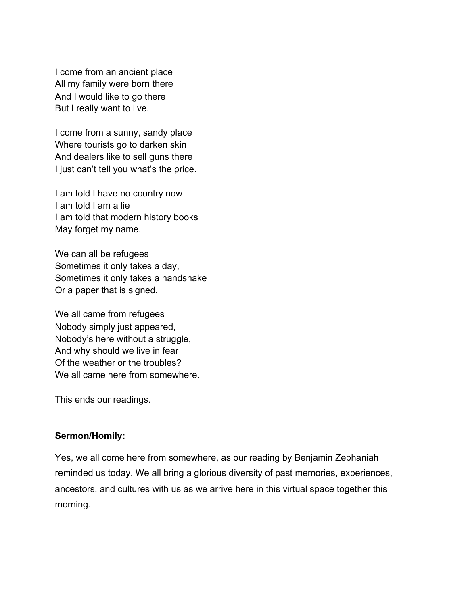I come from an ancient place All my family were born there And I would like to go there But I really want to live.

I come from a sunny, sandy place Where tourists go to darken skin And dealers like to sell guns there I just can't tell you what's the price.

I am told I have no country now I am told I am a lie I am told that modern history books May forget my name.

We can all be refugees Sometimes it only takes a day, Sometimes it only takes a handshake Or a paper that is signed.

We all came from refugees Nobody simply just appeared, Nobody's here without a struggle, And why should we live in fear Of the weather or the troubles? We all came here from somewhere.

This ends our readings.

## **Sermon/Homily:**

Yes, we all come here from somewhere, as our reading by Benjamin Zephaniah reminded us today. We all bring a glorious diversity of past memories, experiences, ancestors, and cultures with us as we arrive here in this virtual space together this morning.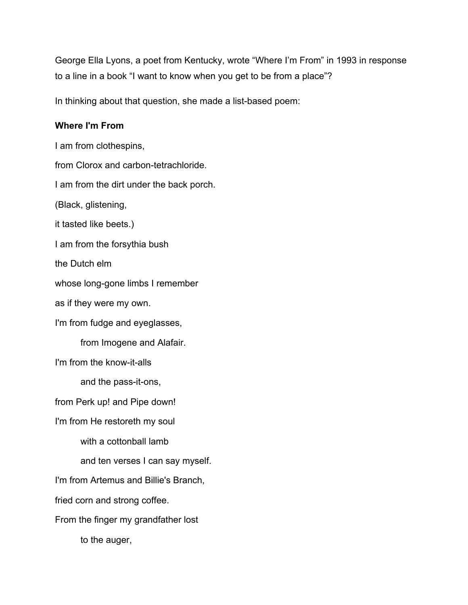George Ella Lyons, a poet from Kentucky, wrote "Where I'm From" in 1993 in response to a line in a book "I want to know when you get to be from a place"?

In thinking about that question, she made a list-based poem:

## **Where I'm From**

I am from clothespins, from Clorox and carbon-tetrachloride. I am from the dirt under the back porch. (Black, glistening, it tasted like beets.) I am from the forsythia bush the Dutch elm whose long-gone limbs I remember as if they were my own. I'm from fudge and eyeglasses, from Imogene and Alafair. I'm from the know-it-alls and the pass-it-ons, from Perk up! and Pipe down! I'm from He restoreth my soul with a cottonball lamb and ten verses I can say myself. I'm from Artemus and Billie's Branch, fried corn and strong coffee. From the finger my grandfather lost to the auger,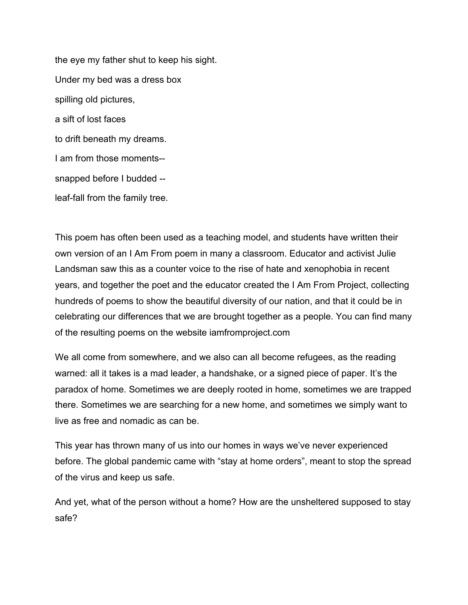the eye my father shut to keep his sight. Under my bed was a dress box spilling old pictures, a sift of lost faces to drift beneath my dreams. I am from those moments- snapped before I budded - leaf-fall from the family tree.

This poem has often been used as a teaching model, and students have written their own version of an I Am From poem in many a classroom. Educator and activist Julie Landsman saw this as a counter voice to the rise of hate and xenophobia in recent years, and together the poet and the educator created the I Am From Project, collecting hundreds of poems to show the beautiful diversity of our nation, and that it could be in celebrating our differences that we are brought together as a people. You can find many of the resulting poems on the website iamfromproject.com

We all come from somewhere, and we also can all become refugees, as the reading warned: all it takes is a mad leader, a handshake, or a signed piece of paper. It's the paradox of home. Sometimes we are deeply rooted in home, sometimes we are trapped there. Sometimes we are searching for a new home, and sometimes we simply want to live as free and nomadic as can be.

This year has thrown many of us into our homes in ways we've never experienced before. The global pandemic came with "stay at home orders", meant to stop the spread of the virus and keep us safe.

And yet, what of the person without a home? How are the unsheltered supposed to stay safe?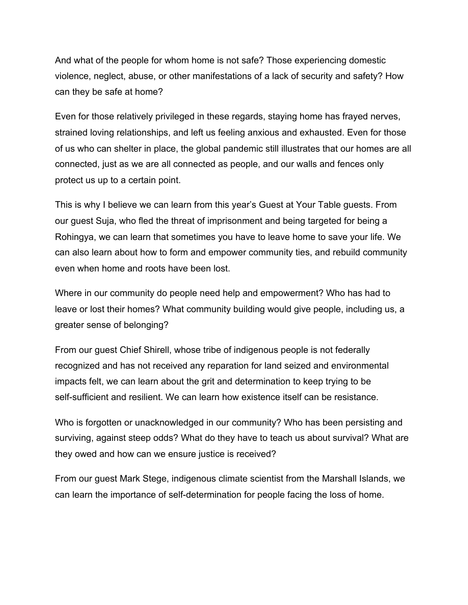And what of the people for whom home is not safe? Those experiencing domestic violence, neglect, abuse, or other manifestations of a lack of security and safety? How can they be safe at home?

Even for those relatively privileged in these regards, staying home has frayed nerves, strained loving relationships, and left us feeling anxious and exhausted. Even for those of us who can shelter in place, the global pandemic still illustrates that our homes are all connected, just as we are all connected as people, and our walls and fences only protect us up to a certain point.

This is why I believe we can learn from this year's Guest at Your Table guests. From our guest Suja, who fled the threat of imprisonment and being targeted for being a Rohingya, we can learn that sometimes you have to leave home to save your life. We can also learn about how to form and empower community ties, and rebuild community even when home and roots have been lost.

Where in our community do people need help and empowerment? Who has had to leave or lost their homes? What community building would give people, including us, a greater sense of belonging?

From our guest Chief Shirell, whose tribe of indigenous people is not federally recognized and has not received any reparation for land seized and environmental impacts felt, we can learn about the grit and determination to keep trying to be self-sufficient and resilient. We can learn how existence itself can be resistance.

Who is forgotten or unacknowledged in our community? Who has been persisting and surviving, against steep odds? What do they have to teach us about survival? What are they owed and how can we ensure justice is received?

From our guest Mark Stege, indigenous climate scientist from the Marshall Islands, we can learn the importance of self-determination for people facing the loss of home.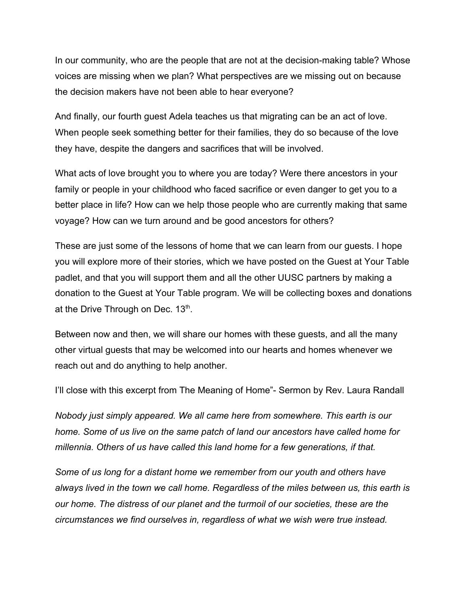In our community, who are the people that are not at the decision-making table? Whose voices are missing when we plan? What perspectives are we missing out on because the decision makers have not been able to hear everyone?

And finally, our fourth guest Adela teaches us that migrating can be an act of love. When people seek something better for their families, they do so because of the love they have, despite the dangers and sacrifices that will be involved.

What acts of love brought you to where you are today? Were there ancestors in your family or people in your childhood who faced sacrifice or even danger to get you to a better place in life? How can we help those people who are currently making that same voyage? How can we turn around and be good ancestors for others?

These are just some of the lessons of home that we can learn from our guests. I hope you will explore more of their stories, which we have posted on the Guest at Your Table padlet, and that you will support them and all the other UUSC partners by making a donation to the Guest at Your Table program. We will be collecting boxes and donations at the Drive Through on Dec.  $13<sup>th</sup>$ .

Between now and then, we will share our homes with these guests, and all the many other virtual guests that may be welcomed into our hearts and homes whenever we reach out and do anything to help another.

I'll close with this excerpt from The Meaning of Home"- Sermon by Rev. Laura Randall

*Nobody just simply appeared. We all came here from somewhere. This earth is our home. Some of us live on the same patch of land our ancestors have called home for millennia. Others of us have called this land home for a few generations, if that.*

*Some of us long for a distant home we remember from our youth and others have always lived in the town we call home. Regardless of the miles between us, this earth is our home. The distress of our planet and the turmoil of our societies, these are the circumstances we find ourselves in, regardless of what we wish were true instead.*